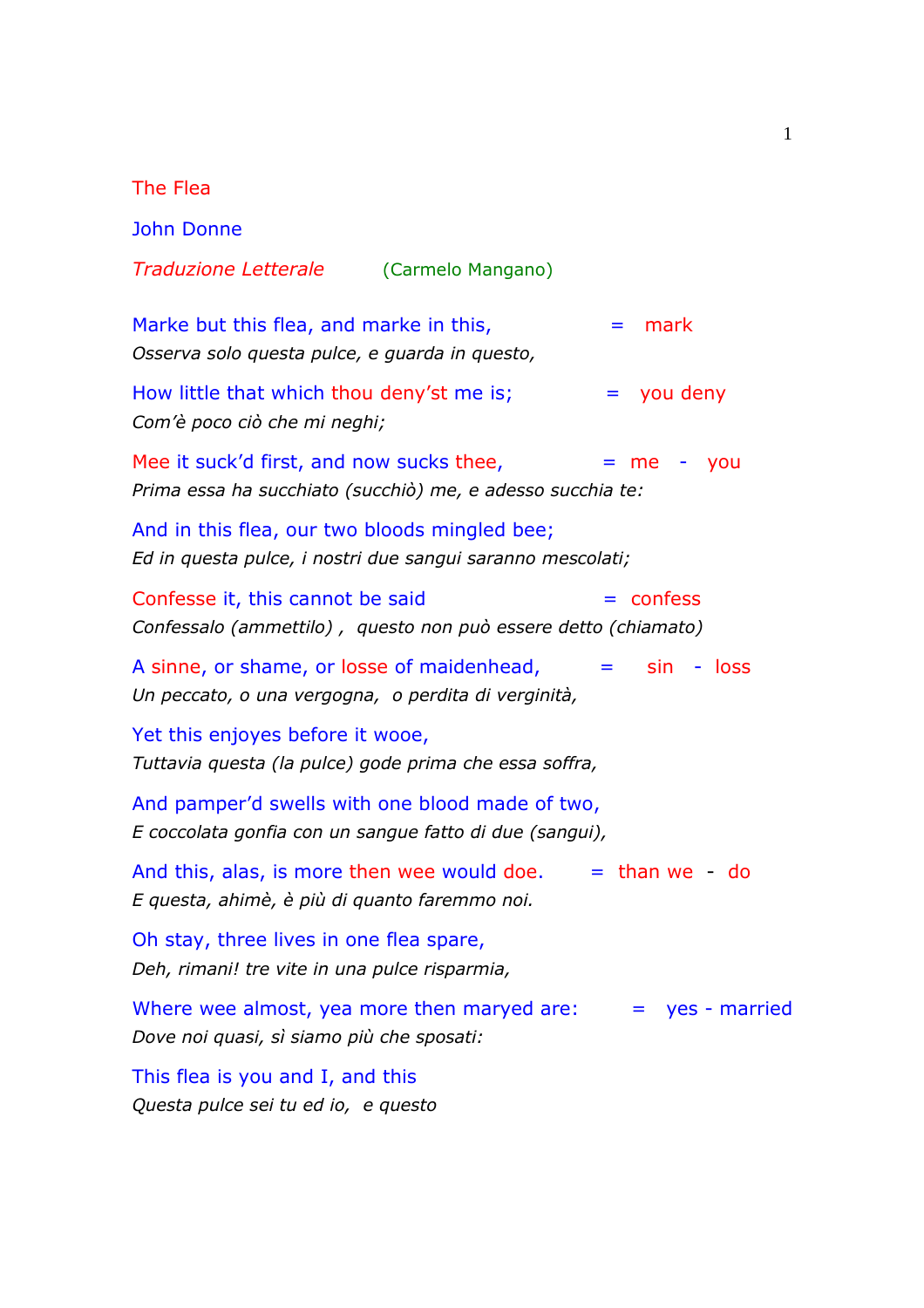The Flea

John Donne *Traduzione Letterale* (Carmelo Mangano) Marke but this flea, and marke in this,  $\mathbf{v} = \mathbf{m}$ ark *Osserva solo questa pulce, e guarda in questo,* How little that which thou deny'st me is;  $\equiv$  you deny *Com'è poco ciò che mi neghi;* Mee it suck'd first, and now sucks thee,  $= me - you$ *Prima essa ha succhiato (succhiò) me, e adesso succhia te:* And in this flea, our two bloods mingled bee; *Ed in questa pulce, i nostri due sangui saranno mescolati;* Confesse it, this cannot be said  $=$  confess *Confessalo (ammettilo) , questo non può essere detto (chiamato)*  A sinne, or shame, or losse of maidenhead,  $=$  sin - loss *Un peccato, o una vergogna, o perdita di verginità,* Yet this enjoyes before it wooe, *Tuttavia questa (la pulce) gode prima che essa soffra,* And pamper'd swells with one blood made of two, *E coccolata gonfia con un sangue fatto di due (sangui),* And this, alas, is more then wee would doe.  $=$  than we - do *E questa, ahimè, è più di quanto faremmo noi.* Oh stay, three lives in one flea spare, *Deh, rimani! tre vite in una pulce risparmia,* Where wee almost, yea more then maryed are:  $=$  yes - married *Dove noi quasi, sì siamo più che sposati:* This flea is you and I, and this *Questa pulce sei tu ed io, e questo*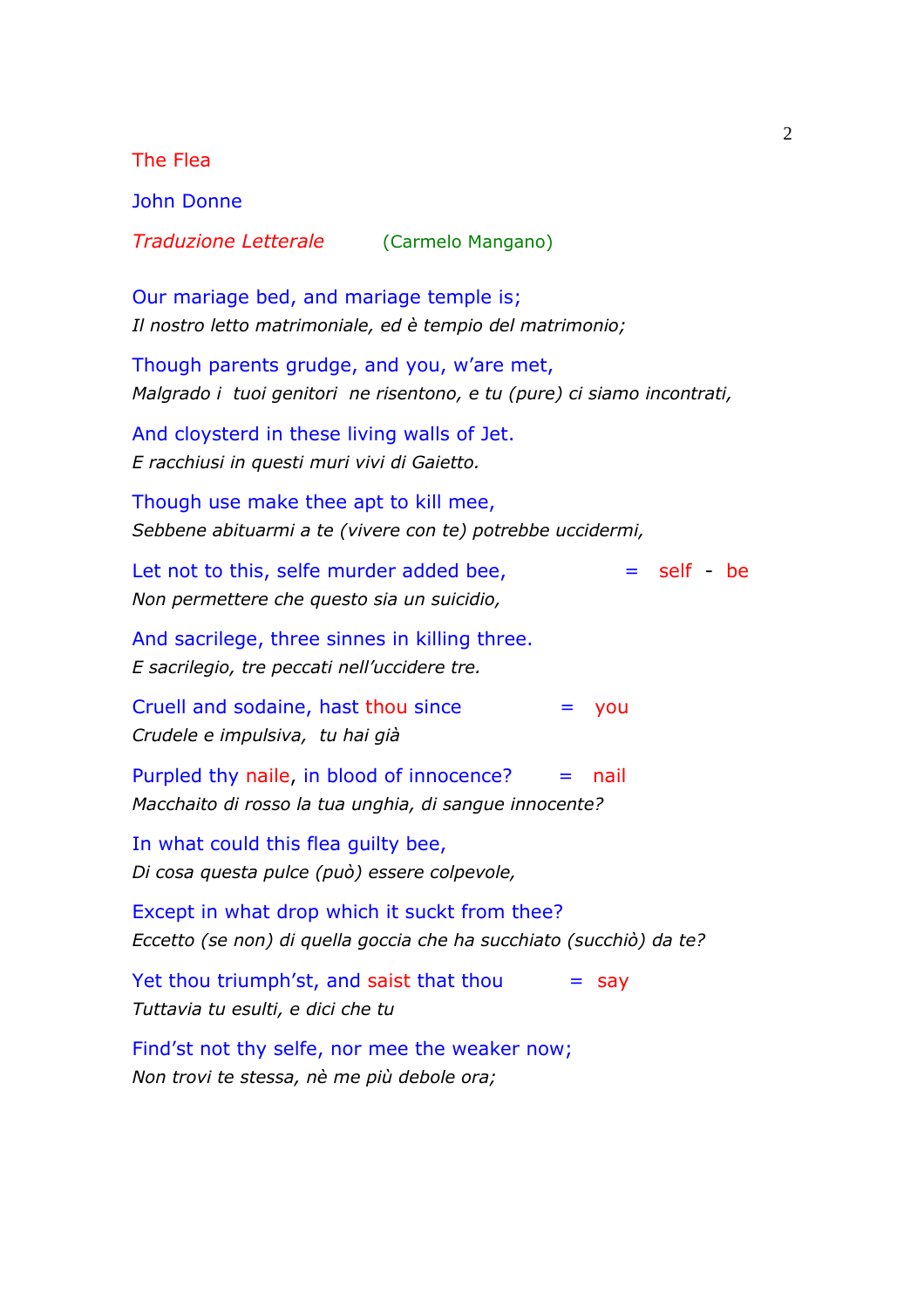The Flea John Donne *Traduzione Letterale* (Carmelo Mangano) Our mariage bed, and mariage temple is; *Il nostro letto matrimoniale, ed è tempio del matrimonio;* Though parents grudge, and you, w'are met, *Malgrado i tuoi genitori ne risentono, e tu (pure) ci siamo incontrati,*  And cloysterd in these living walls of Jet. *E racchiusi in questi muri vivi di Gaietto.*  Though use make thee apt to kill mee, *Sebbene abituarmi a te (vivere con te) potrebbe uccidermi,*  Let not to this, selfe murder added bee,  $=$  self - be *Non permettere che questo sia un suicidio,*  And sacrilege, three sinnes in killing three. *E sacrilegio, tre peccati nell'uccidere tre.* Cruell and sodaine, hast thou since  $=$  you *Crudele e impulsiva, tu hai già*  Purpled thy naile, in blood of innocence?  $=$  nail *Macchaito di rosso la tua unghia, di sangue innocente?* In what could this flea guilty bee, *Di cosa questa pulce (può) essere colpevole,* Except in what drop which it suckt from thee? *Eccetto (se non) di quella goccia che ha succhiato (succhiò) da te?* Yet thou triumph'st, and saist that thou  $=$  say *Tuttavia tu esulti, e dici che tu* Find'st not thy selfe, nor mee the weaker now; *Non trovi te stessa, nè me più debole ora;*